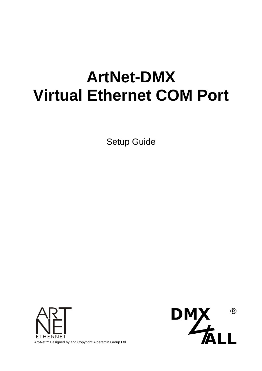# **ArtNet-DMX Virtual Ethernet COM Port**

Setup Guide



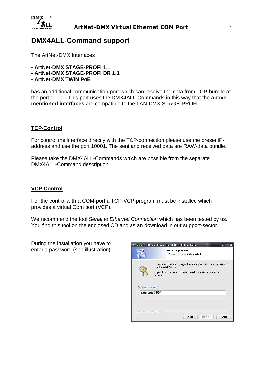

### **DMX4ALL-Command support**

The ArtNet-DMX Interfaces

- **ArtNet-DMX STAGE-PROFI 1.1**
- **ArtNet-DMX STAGE-PROFI DR 1.1**
- **ArtNet-DMX TWIN PoE**

has an additional communication-port which can receive the data from TCP-bundle at the port 10001. This port uses the DMX4ALL-Commands in this way that the **above mentioned interfaces** are compatible to the LAN-DMX STAGE-PROFI.

#### **TCP-Control**

For control the interface directly with the TCP-connection please use the preset IPaddress and use the port 10001. The sent and received data are RAW-data bundle.

Please take the DMX4ALL-Commands which are possible from the separate DMX4ALL-Command description.

#### **VCP-Control**

For the control with a COM-port a TCP-VCP-program must be installed which provides a virtual Com port (VCP).

We recommend the tool Serial to Ethernet Connection which has been tested by us. You find this tool on the enclosed CD and as an download in our support-sector.

During the installation you have to enter a password (see illustration).

|                             | Serial to Ethernet Connection Utility 1.00 Installation<br><b>Enter the password</b><br>This setup is password protected.                                                                  |
|-----------------------------|--------------------------------------------------------------------------------------------------------------------------------------------------------------------------------------------|
|                             | A password is required to begin the installation of SEC. Type the password<br>and then click "Next".<br>If you do not know the password then click "Cancel" to cancel the<br>installation. |
| Installation password       | centos1104                                                                                                                                                                                 |
| Copyright 2011, Centos Inc. | Cancel<br>$<$ Back<br>Next >                                                                                                                                                               |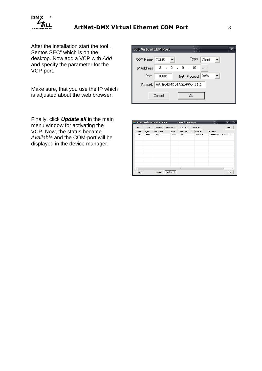

After the installation start the tool  $<sub>n</sub>$ </sub> Sentos SEC" which is on the desktop. Now add a VCP with Add and specify the parameter for the VCP-port.

Make sure, that you use the IP which is adjusted about the web browser.

Finally, click **Update all** in the main menu window for activating the VCP. Now, the status became Available and the COM-port will be displayed in the device manager.

| <b>Edit Virtual COM Port</b> |        |                            | <b>BUT IT</b><br>m |  |
|------------------------------|--------|----------------------------|--------------------|--|
| COM Name   COM5              |        |                            | Type<br>Client     |  |
| IP Address                   |        | 2, 0, 0, 10                |                    |  |
| Port                         | 10001  | Net, Protocol              | RAW                |  |
| Remark                       |        | ArtNet-DMX STAGE-PROFI 1.1 |                    |  |
|                              | Cancel | ОК                         |                    |  |

| 畾 |                |        | Serial to Ethernet Utility R-1.00 |            | 2011(c) Centos Inc. |           | <b>Harry</b><br>m.        | $ \Box$ $x$ |
|---|----------------|--------|-----------------------------------|------------|---------------------|-----------|---------------------------|-------------|
|   | Add            | Edit   | Remove                            | Remove all | Load list           | Save list |                           | Help        |
|   | COM#           | Type   | IP Address                        | Port       | Net. Protocol       | Status    | Remark                    |             |
|   | COM5           | Client | 2.0.0.10                          | 10001      | RAW                 | Available | ArtNet-DMX STAGE-PROFI 1. |             |
|   |                |        |                                   |            |                     |           |                           |             |
|   |                |        |                                   |            |                     |           |                           |             |
|   |                |        |                                   |            |                     |           |                           |             |
|   |                |        |                                   |            |                     |           |                           |             |
|   |                |        |                                   |            |                     |           |                           |             |
|   |                |        |                                   |            |                     |           |                           |             |
|   |                |        |                                   |            |                     |           |                           |             |
|   |                |        |                                   |            |                     |           |                           |             |
|   |                |        |                                   |            |                     |           |                           |             |
|   | $\overline{4}$ |        |                                   |            | $\mathbf{H}$        |           |                           | ь           |
|   |                |        |                                   |            |                     |           |                           |             |
|   | Sort           |        | Update                            | Update all |                     |           |                           | Exit        |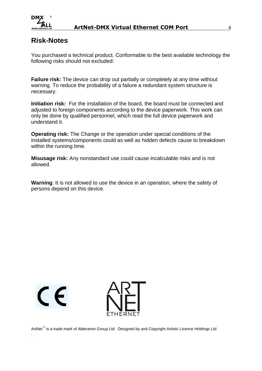

## **Risk-Notes**

You purchased a technical product. Conformable to the best available technology the following risks should not excluded:

**Failure risk:** The device can drop out partially or completely at any time without warning. To reduce the probability of a failure a redundant system structure is necessary.

**Initiation risk:** For the installation of the board, the board must be connected and adjusted to foreign components according to the device paperwork. This work can only be done by qualified personnel, which read the full device paperwork and understand it.

**Operating risk:** The Change or the operation under special conditions of the installed systems/components could as well as hidden defects cause to breakdown within the running time.

**Misusage risk:** Any nonstandard use could cause incalculable risks and is not allowed.

**Warning**: It is not allowed to use the device in an operation, where the safety of persons depend on this device.



.

ArtNet™ is a trade mark of Alderamin Group Ltd. Designed by and Copyright Artistic Licence Holdings Ltd